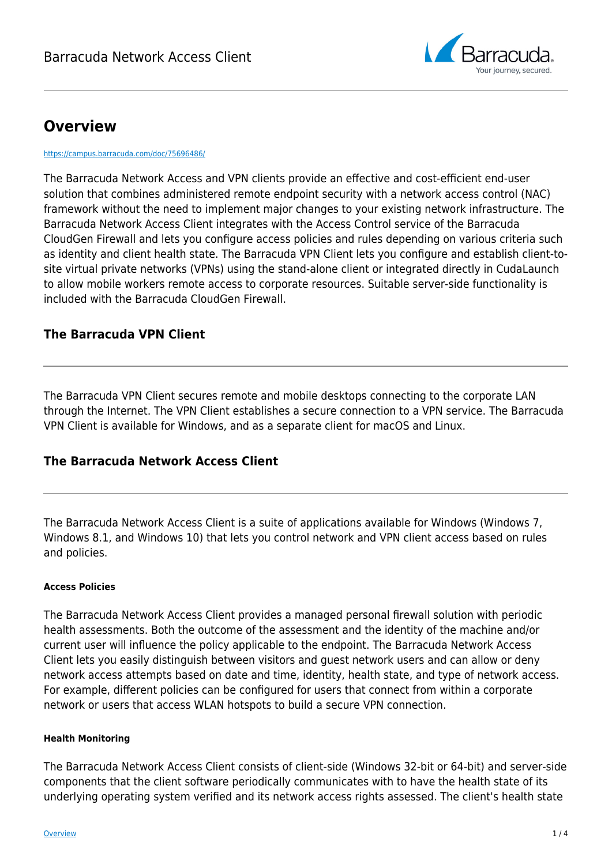

# **Overview**

<https://campus.barracuda.com/doc/75696486/>

The Barracuda Network Access and VPN clients provide an effective and cost-efficient end-user solution that combines administered remote endpoint security with a network access control (NAC) framework without the need to implement major changes to your existing network infrastructure. The Barracuda Network Access Client integrates with the Access Control service of the Barracuda CloudGen Firewall and lets you configure access policies and rules depending on various criteria such as identity and client health state. The Barracuda VPN Client lets you configure and establish client-tosite virtual private networks (VPNs) using the stand-alone client or integrated directly in CudaLaunch to allow mobile workers remote access to corporate resources. Suitable server-side functionality is included with the Barracuda CloudGen Firewall.

### **The Barracuda VPN Client**

The Barracuda VPN Client secures remote and mobile desktops connecting to the corporate LAN through the Internet. The VPN Client establishes a secure connection to a VPN service. The Barracuda VPN Client is available for Windows, and as a separate client for macOS and Linux.

### **The Barracuda Network Access Client**

The Barracuda Network Access Client is a suite of applications available for Windows (Windows 7, Windows 8.1, and Windows 10) that lets you control network and VPN client access based on rules and policies.

#### **Access Policies**

The Barracuda Network Access Client provides a managed personal firewall solution with periodic health assessments. Both the outcome of the assessment and the identity of the machine and/or current user will influence the policy applicable to the endpoint. The Barracuda Network Access Client lets you easily distinguish between visitors and guest network users and can allow or deny network access attempts based on date and time, identity, health state, and type of network access. For example, different policies can be configured for users that connect from within a corporate network or users that access WLAN hotspots to build a secure VPN connection.

#### **Health Monitoring**

The Barracuda Network Access Client consists of client-side (Windows 32-bit or 64-bit) and server-side components that the client software periodically communicates with to have the health state of its underlying operating system verified and its network access rights assessed. The client's health state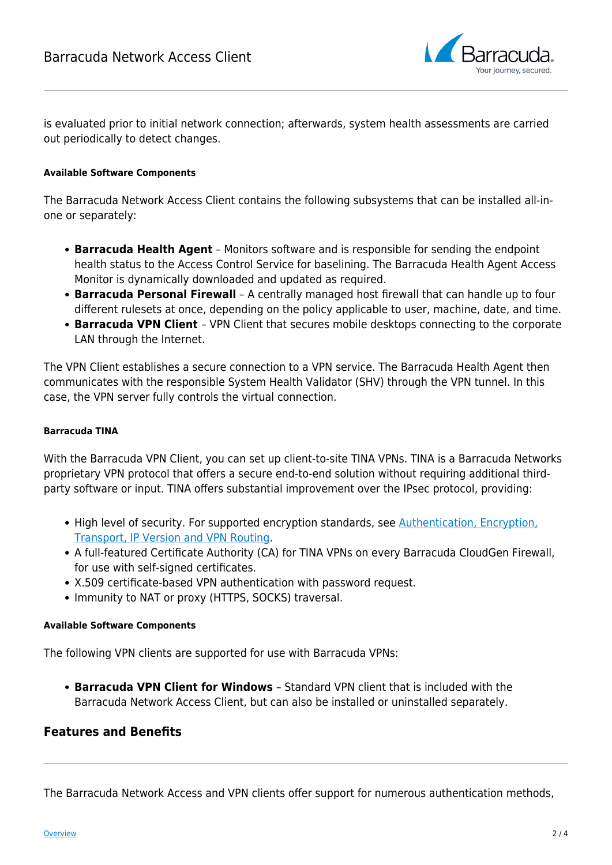

is evaluated prior to initial network connection; afterwards, system health assessments are carried out periodically to detect changes.

#### **Available Software Components**

The Barracuda Network Access Client contains the following subsystems that can be installed all-inone or separately:

- **Barracuda Health Agent** Monitors software and is responsible for sending the endpoint health status to the Access Control Service for baselining. The Barracuda Health Agent Access Monitor is dynamically downloaded and updated as required.
- **Barracuda Personal Firewall** A centrally managed host firewall that can handle up to four different rulesets at once, depending on the policy applicable to user, machine, date, and time.
- **Barracuda VPN Client** VPN Client that secures mobile desktops connecting to the corporate LAN through the Internet.

The VPN Client establishes a secure connection to a VPN service. The Barracuda Health Agent then communicates with the responsible System Health Validator (SHV) through the VPN tunnel. In this case, the VPN server fully controls the virtual connection.

#### **Barracuda TINA**

With the Barracuda VPN Client, you can set up client-to-site TINA VPNs. TINA is a Barracuda Networks proprietary VPN protocol that offers a secure end-to-end solution without requiring additional thirdparty software or input. TINA offers substantial improvement over the IPsec protocol, providing:

- High level of security. For supported encryption standards, see [Authentication, Encryption,](http://campus.barracuda.com/doc/96026118/) [Transport, IP Version and VPN Routing](http://campus.barracuda.com/doc/96026118/).
- A full-featured Certificate Authority (CA) for TINA VPNs on every Barracuda CloudGen Firewall, for use with self-signed certificates.
- X.509 certificate-based VPN authentication with password request.
- Immunity to NAT or proxy (HTTPS, SOCKS) traversal.

#### **Available Software Components**

The following VPN clients are supported for use with Barracuda VPNs:

**Barracuda VPN Client for Windows** – Standard VPN client that is included with the Barracuda Network Access Client, but can also be installed or uninstalled separately.

### **Features and Benefits**

The Barracuda Network Access and VPN clients offer support for numerous authentication methods,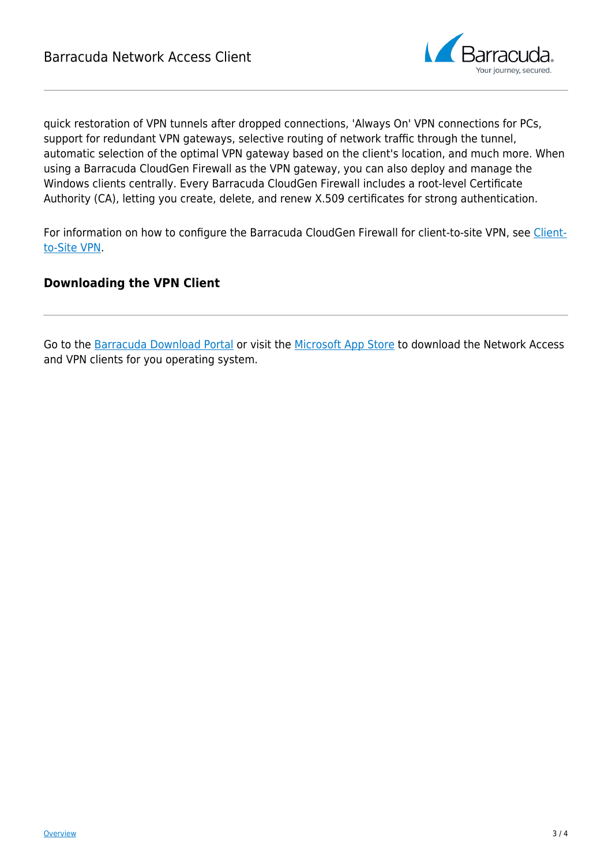

quick restoration of VPN tunnels after dropped connections, 'Always On' VPN connections for PCs, support for redundant VPN gateways, selective routing of network traffic through the tunnel, automatic selection of the optimal VPN gateway based on the client's location, and much more. When using a Barracuda CloudGen Firewall as the VPN gateway, you can also deploy and manage the Windows clients centrally. Every Barracuda CloudGen Firewall includes a root-level Certificate Authority (CA), letting you create, delete, and renew X.509 certificates for strong authentication.

For information on how to configure the Barracuda CloudGen Firewall for client-to-site VPN, see [Client](http://campus.barracuda.com/doc/96026119/)[to-Site VPN](http://campus.barracuda.com/doc/96026119/).

## **Downloading the VPN Client**

Go to the [Barracuda Download Portal](https://dlportal.barracudanetworks.com) or visit the [Microsoft App Store](https://apps.microsoft.com/store/detail/barracuda-network-access-client/XP9B1CWN79PZSS) to download the Network Access and VPN clients for you operating system.